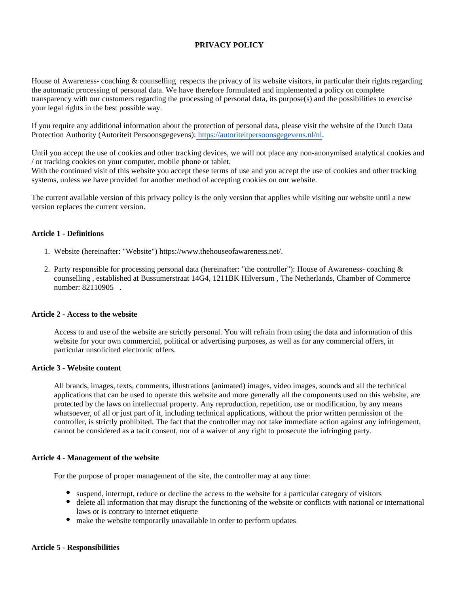# **PRIVACY POLICY**

House of Awareness- coaching & counselling respects the privacy of its website visitors, in particular their rights regarding the automatic processing of personal data. We have therefore formulated and implemented a policy on complete transparency with our customers regarding the processing of personal data, its purpose(s) and the possibilities to exercise your legal rights in the best possible way.

If you require any additional information about the protection of personal data, please visit the website of the Dutch Data Protection Authority (Autoriteit Persoonsgegevens): [https://autoriteitpersoonsgegevens.nl/nl.](https://autoriteitpersoonsgegevens.nl/nl)

Until you accept the use of cookies and other tracking devices, we will not place any non-anonymised analytical cookies and / or tracking cookies on your computer, mobile phone or tablet.

With the continued visit of this website you accept these terms of use and you accept the use of cookies and other tracking systems, unless we have provided for another method of accepting cookies on our website.

The current available version of this privacy policy is the only version that applies while visiting our website until a new version replaces the current version.

### **Article 1 - Definitions**

- 1. Website (hereinafter: "Website") https://www.thehouseofawareness.net/.
- 2. Party responsible for processing personal data (hereinafter: "the controller"): House of Awareness- coaching & counselling , established at Bussumerstraat 14G4, 1211BK Hilversum , The Netherlands, Chamber of Commerce number: 82110905 .

#### **Article 2 - Access to the website**

Access to and use of the website are strictly personal. You will refrain from using the data and information of this website for your own commercial, political or advertising purposes, as well as for any commercial offers, in particular unsolicited electronic offers.

#### **Article 3 - Website content**

All brands, images, texts, comments, illustrations (animated) images, video images, sounds and all the technical applications that can be used to operate this website and more generally all the components used on this website, are protected by the laws on intellectual property. Any reproduction, repetition, use or modification, by any means whatsoever, of all or just part of it, including technical applications, without the prior written permission of the controller, is strictly prohibited. The fact that the controller may not take immediate action against any infringement, cannot be considered as a tacit consent, nor of a waiver of any right to prosecute the infringing party.

### **Article 4 - Management of the website**

For the purpose of proper management of the site, the controller may at any time:

- suspend, interrupt, reduce or decline the access to the website for a particular category of visitors
- delete all information that may disrupt the functioning of the website or conflicts with national or international laws or is contrary to internet etiquette
- make the website temporarily unavailable in order to perform updates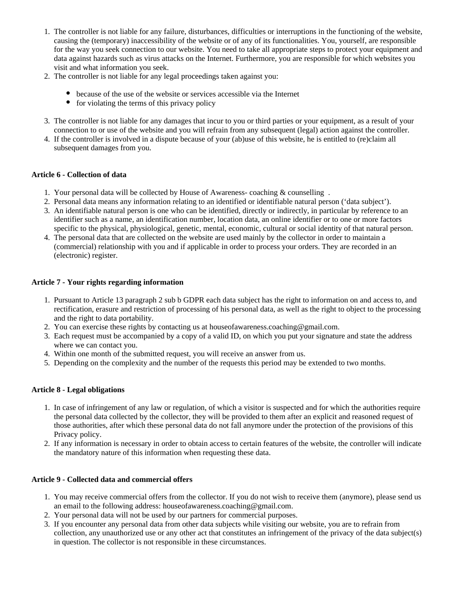- 1. The controller is not liable for any failure, disturbances, difficulties or interruptions in the functioning of the website, causing the (temporary) inaccessibility of the website or of any of its functionalities. You, yourself, are responsible for the way you seek connection to our website. You need to take all appropriate steps to protect your equipment and data against hazards such as virus attacks on the Internet. Furthermore, you are responsible for which websites you visit and what information you seek.
- 2. The controller is not liable for any legal proceedings taken against you:
	- because of the use of the website or services accessible via the Internet
	- $\bullet$  for violating the terms of this privacy policy
- 3. The controller is not liable for any damages that incur to you or third parties or your equipment, as a result of your connection to or use of the website and you will refrain from any subsequent (legal) action against the controller.
- 4. If the controller is involved in a dispute because of your (ab)use of this website, he is entitled to (re)claim all subsequent damages from you.

# **Article 6 - Collection of data**

- 1. Your personal data will be collected by House of Awareness- coaching & counselling .
- 2. Personal data means any information relating to an identified or identifiable natural person ('data subject').
- 3. An identifiable natural person is one who can be identified, directly or indirectly, in particular by reference to an identifier such as a name, an identification number, location data, an online identifier or to one or more factors specific to the physical, physiological, genetic, mental, economic, cultural or social identity of that natural person.
- 4. The personal data that are collected on the website are used mainly by the collector in order to maintain a (commercial) relationship with you and if applicable in order to process your orders. They are recorded in an (electronic) register.

# **Article 7 - Your rights regarding information**

- 1. Pursuant to Article 13 paragraph 2 sub b GDPR each data subject has the right to information on and access to, and rectification, erasure and restriction of processing of his personal data, as well as the right to object to the processing and the right to data portability.
- 2. You can exercise these rights by contacting us at houseofawareness.coaching@gmail.com.
- 3. Each request must be accompanied by a copy of a valid ID, on which you put your signature and state the address where we can contact you.
- 4. Within one month of the submitted request, you will receive an answer from us.
- 5. Depending on the complexity and the number of the requests this period may be extended to two months.

# **Article 8 - Legal obligations**

- 1. In case of infringement of any law or regulation, of which a visitor is suspected and for which the authorities require the personal data collected by the collector, they will be provided to them after an explicit and reasoned request of those authorities, after which these personal data do not fall anymore under the protection of the provisions of this Privacy policy.
- 2. If any information is necessary in order to obtain access to certain features of the website, the controller will indicate the mandatory nature of this information when requesting these data.

# **Article 9 - Collected data and commercial offers**

- 1. You may receive commercial offers from the collector. If you do not wish to receive them (anymore), please send us an email to the following address: houseofawareness.coaching@gmail.com.
- 2. Your personal data will not be used by our partners for commercial purposes.
- 3. If you encounter any personal data from other data subjects while visiting our website, you are to refrain from collection, any unauthorized use or any other act that constitutes an infringement of the privacy of the data subject(s) in question. The collector is not responsible in these circumstances.